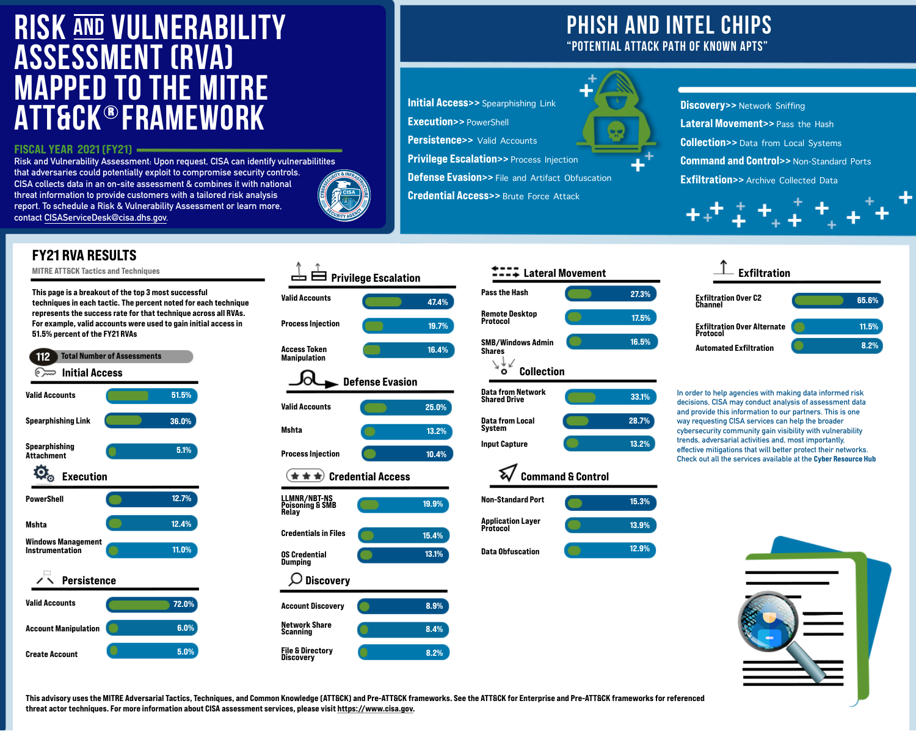**Risk and Vulnerability Assessment: Upon request, CISA can identify vulnerabilitites that adversaries could potentially exploit to compromise security controls. CISA collects data in an on-site assessment & combines it with national threat information to provide customers with a tailored risk analysis report. To schedule a Risk & Vulnerability Assessment or learn more, contact [CISAServiceDesk@cisa.dhs.gov.](mailto:CISAServiceDesk@cisa.dhs.gov)**



# **PHISH AND INTEL CHIPS "POTENTIAL ATTACK PATH OF KNOWN APTS"**

**Initial Access>>** Spearphishing Link Execution>> PowerShell **Persistence>>** Valid Accounts **Privilege Escalation>> Process Injection Defense Evasion>>** File and Artifact Obfuscation **Credential Access>> Brute Force Attack** 







## FY21 RVA RESULTS

MITRE ATT&CK Tactics and Techniques

Account Manipulation



Create Account

# **RISK AND VULNERABILITY ASSESSMENT (RVA) MAPPED TO THE MITRE ATT&CK®FRAMEWORK**



 $\textcolor{red}{\mathsf{z}} \textcolor{blue}{\mathsf{z}} \textcolor{red}{\mathsf{z}}$  Lateral Movement

This page is a breakout of the top 3 most successful techniques in each tactic. The percent noted for each technique represents the success rate for that technique across all RVAs. For example, valid accounts were used to gain initial access in 51.5% percent of the FY21 RVAs 112 Total Number of Assessments Initial Access Valid Accounts 51.5% Spearphishing Link 36.0% Spearphishing 5.1% Attachment  $\overline{\mathbf{Q}}_{\odot}$  Execution 12.7% PowerShell 12.4% Mshta Windows Management 11.0% Instrumentation Persistence ╱╲ Valid Accounts 72.0%



This advisory uses the MITRE Adversarial Tactics, Techniques, and Common Knowledge (ATT&CK) and Pre-ATT&CK frameworks. See the ATT&CK for Enterprise and Pre-ATT&CK frameworks for referenced threat actor techniques. For more information about CISA assessment services, please visit [https://www.cisa.gov.](https://www.cisa.gov)

**In order to help agencies with making data informed risk decisions, CISA may conduct analysis of assessment data and provide this information to our partners. This is one way requesting CISA services can help the broader cybersecurity community gain visibility with vulnerability trends, adversarial activities and, most importantly, effective mitigations that will better protect their networks. Check out all the services available at the** Cyber Resource Hub



6.0%

5.0%

### FISCAL YEAR 2021 (FY21)